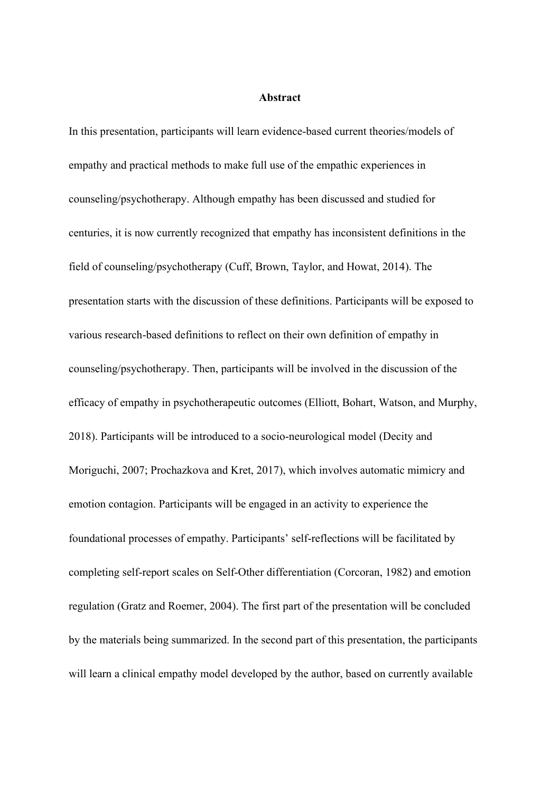## **Abstract**

In this presentation, participants will learn evidence-based current theories/models of empathy and practical methods to make full use of the empathic experiences in counseling/psychotherapy. Although empathy has been discussed and studied for centuries, it is now currently recognized that empathy has inconsistent definitions in the field of counseling/psychotherapy (Cuff, Brown, Taylor, and Howat, 2014). The presentation starts with the discussion of these definitions. Participants will be exposed to various research-based definitions to reflect on their own definition of empathy in counseling/psychotherapy. Then, participants will be involved in the discussion of the efficacy of empathy in psychotherapeutic outcomes (Elliott, Bohart, Watson, and Murphy, 2018). Participants will be introduced to a socio-neurological model (Decity and Moriguchi, 2007; Prochazkova and Kret, 2017), which involves automatic mimicry and emotion contagion. Participants will be engaged in an activity to experience the foundational processes of empathy. Participants' self-reflections will be facilitated by completing self-report scales on Self-Other differentiation (Corcoran, 1982) and emotion regulation (Gratz and Roemer, 2004). The first part of the presentation will be concluded by the materials being summarized. In the second part of this presentation, the participants will learn a clinical empathy model developed by the author, based on currently available